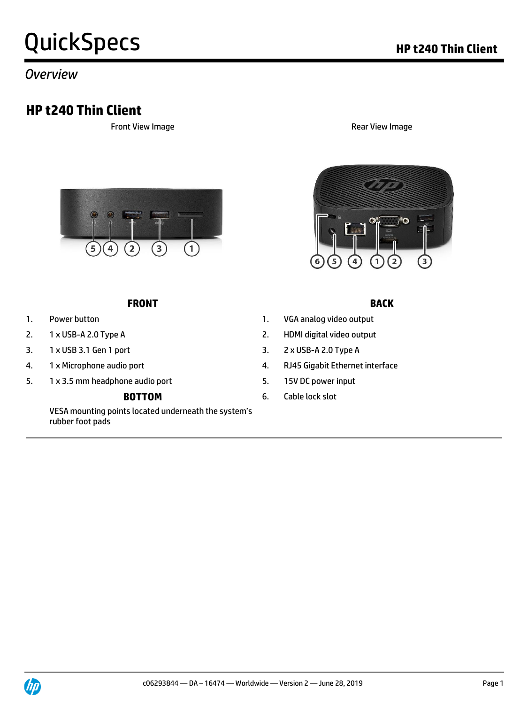### *Overview*

### **HP t240 Thin Client**



## Front View Image **Rear View Image** Rear View Image



#### **FRONT BACK**

- 
- 
- 3. 1 x USB 3.1 Gen 1 port 3. 2 x USB-A 2.0 Type A
- 
- 5. 1 x 3.5 mm headphone audio port 5. 15V DC power input

VESA mounting points located underneath the system's rubber foot pads

- 1. Power button **1.** Power button **1.** Power button
- 2. 1 x USB-A 2.0 Type A 2. 2. 2. HDMI digital video output
	-
- 4. 1 x Microphone audio port 1. All 2015 12:30 Magnetic Material Association Association Association Association A
	-
	- **BOTTOM** 6. Cable lock slot



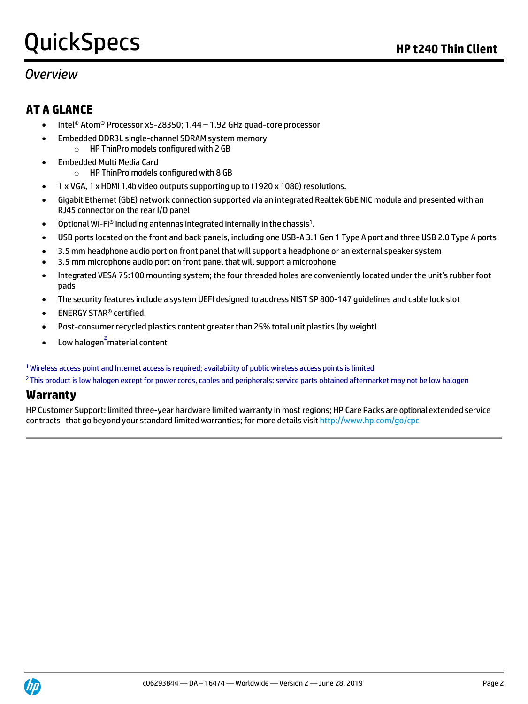### *Overview*

#### **AT A GLANCE**

- Intel® Atom® Processor x5-Z8350; 1.44 1.92 GHz quad-core processor
- Embedded DDR3L single-channel SDRAM system memory
	- o HP ThinPro models configured with 2 GB
- Embedded Multi Media Card
	- o HP ThinPro models configured with 8 GB
- 1 x VGA, 1 x HDMI 1.4b video outputs supporting up to (1920 x 1080) resolutions.
- Gigabit Ethernet(GbE) network connection supported via an integrated Realtek GbE NIC module and presented with an RJ45 connector on the rear I/O panel
- $\bullet$  Optional Wi-Fi® including antennas integrated internally in the chassis<sup>1</sup>.
- USB ports located on the front and back panels, including one USB-A 3.1 Gen 1 Type A port and three USB 2.0 Type A ports
- 3.5 mm headphone audio port on front panel that will support a headphone or an external speaker system
- 3.5 mm microphone audio port on front panel that will support a microphone
- Integrated VESA 75:100 mounting system; the four threaded holes are conveniently located under the unit's rubber foot pads
- The security features include a system UEFI designed to address NIST SP 800-147 guidelines and cable lock slot
- ENERGY STAR® certified.
- Post-consumer recycled plastics content greater than 25% total unit plastics (by weight)
- Low halogen<sup>2</sup> material content

<sup>1</sup>Wireless access point and Internet access is required; availability of public wireless access points is limited <sup>2</sup>This product is low halogen except for power cords, cables and peripherals; service parts obtained aftermarket may not be low halogen

#### **Warranty**

HP Customer Support: limited three-year hardware limited warranty in mostregions; HP Care Packs are optional extended service contracts that go beyond your standard limited warranties; for more details visit <http://www.hp.com/go/cpc>

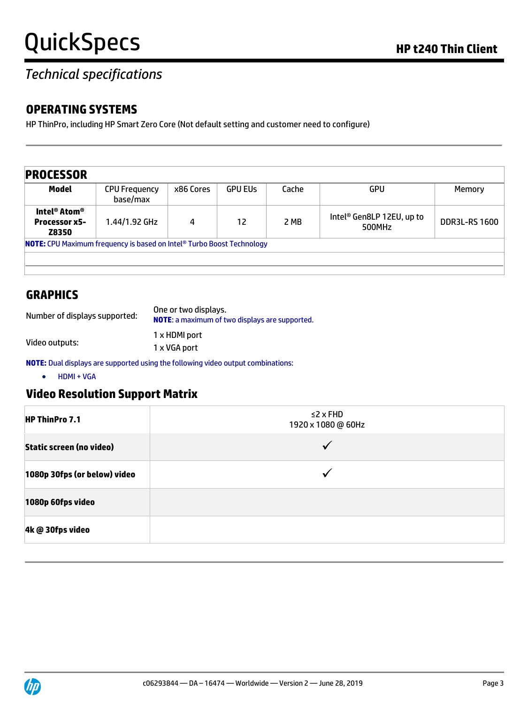### *Technical specifications*

#### **OPERATING SYSTEMS**

HP ThinPro, including HP Smart Zero Core (Not default setting and customer need to configure)

| <b>PROCESSOR</b>                              |                                                                                          |           |                |       |                                                 |                      |
|-----------------------------------------------|------------------------------------------------------------------------------------------|-----------|----------------|-------|-------------------------------------------------|----------------------|
| Model                                         | <b>CPU Frequency</b><br>base/max                                                         | x86 Cores | <b>GPU EUS</b> | Cache | GPU                                             | Memory               |
| Intel® Atom®<br><b>Processor x5-</b><br>Z8350 | 1.44/1.92 GHz                                                                            | 4         | 12             | 2 MB  | Intel <sup>®</sup> Gen8LP 12EU, up to<br>500MHz | <b>DDR3L-RS 1600</b> |
|                                               | <b>NOTE:</b> CPU Maximum frequency is based on Intel <sup>®</sup> Turbo Boost Technology |           |                |       |                                                 |                      |
|                                               |                                                                                          |           |                |       |                                                 |                      |

#### **GRAPHICS**

| Number of displays supported: | One or two displays.<br><b>NOTE:</b> a maximum of two displays are supported. |
|-------------------------------|-------------------------------------------------------------------------------|
|                               | 1 x HDMI port                                                                 |
| Video outputs:                | 1 x VGA port                                                                  |
|                               |                                                                               |

**NOTE:** Dual displays are supported using the following video output combinations:

• HDMI + VGA

#### **Video Resolution Support Matrix**

| <b>HP ThinPro 7.1</b>           | $\leq$ 2 x FHD<br>1920 x 1080 @ 60Hz |
|---------------------------------|--------------------------------------|
| <b>Static screen (no video)</b> | V                                    |
| 1080p 30fps (or below) video    |                                      |
| 1080p 60fps video               |                                      |
| 4k @ 30fps video                |                                      |

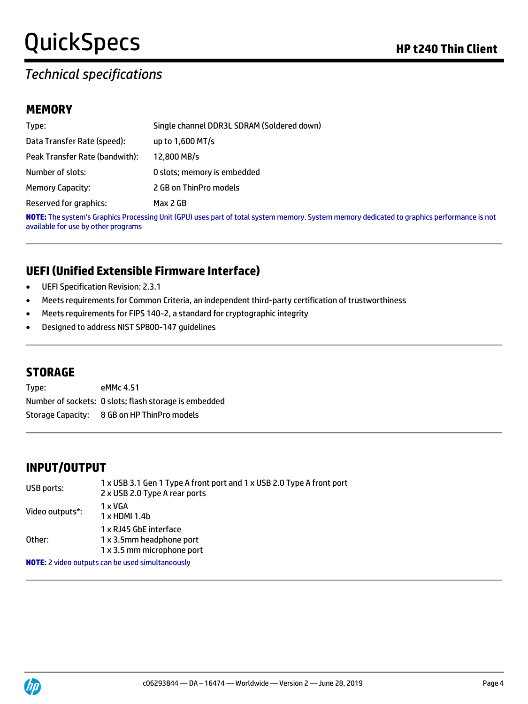### *Technical specifications*

#### **MEMORY**

| Type:                               | Single channel DDR3L SDRAM (Soldered down)                                                                                                 |
|-------------------------------------|--------------------------------------------------------------------------------------------------------------------------------------------|
| Data Transfer Rate (speed):         | up to 1,600 MT/s                                                                                                                           |
| Peak Transfer Rate (bandwith):      | 12,800 MB/s                                                                                                                                |
| Number of slots:                    | 0 slots; memory is embedded                                                                                                                |
| <b>Memory Capacity:</b>             | 2 GB on ThinPro models                                                                                                                     |
| <b>Reserved for graphics:</b>       | Max 2 GB                                                                                                                                   |
| available for use by other programs | NOTE: The system's Graphics Processing Unit (GPU) uses part of total system memory. System memory dedicated to graphics performance is not |

**UEFI (Unified Extensible Firmware Interface)**

- UEFI Specification Revision: 2.3.1
- Meets requirements for Common Criteria, an independent third-party certification of trustworthiness
- Meets requirements for FIPS 140-2, a standard for cryptographic integrity
- Designed to address NIST SP800-147 guidelines

#### **STORAGE**

Type: eMMc 4.51 Number of sockets: 0 slots; flash storage is embedded Storage Capacity: 8 GB on HP ThinPro models

#### **INPUT/OUTPUT**

| <b>USB</b> ports: | 1 x USB 3.1 Gen 1 Type A front port and 1 x USB 2.0 Type A front port<br>2 x USB 2.0 Type A rear ports |
|-------------------|--------------------------------------------------------------------------------------------------------|
| Video outputs*:   | 1 x VGA<br>1 x HDMI 1.4b                                                                               |
| Other:            | 1 x RJ45 GbE interface<br>1 x 3.5mm headphone port<br>1 x 3.5 mm microphone port                       |
|                   | <b>NOTE:</b> 2 video outputs can be used simultaneously                                                |

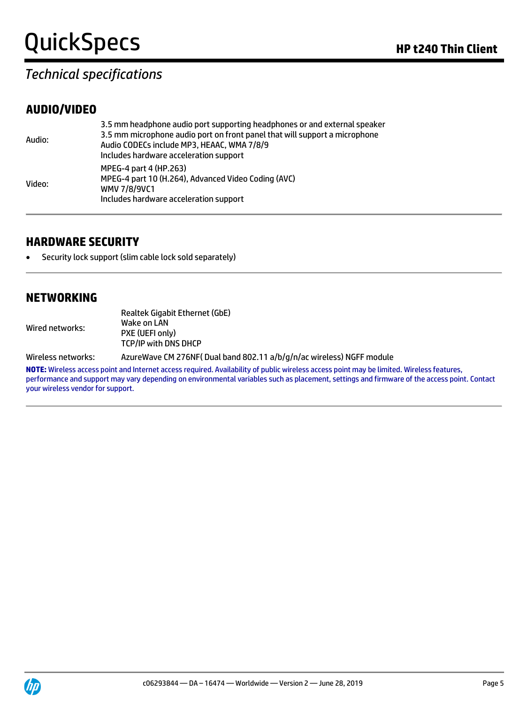### *Technical specifications*

#### **AUDIO/VIDEO**

| Audio: | 3.5 mm headphone audio port supporting headphones or and external speaker<br>3.5 mm microphone audio port on front panel that will support a microphone<br>Audio CODECs include MP3, HEAAC, WMA 7/8/9<br>Includes hardware acceleration support |
|--------|-------------------------------------------------------------------------------------------------------------------------------------------------------------------------------------------------------------------------------------------------|
| Video: | MPEG-4 part 4 (HP.263)<br>MPEG-4 part 10 (H.264), Advanced Video Coding (AVC)<br>WMV 7/8/9VC1<br>Includes hardware acceleration support                                                                                                         |

#### **HARDWARE SECURITY**

• Security lock support (slim cable lock sold separately)

#### **NETWORKING**

|                 | Realtek Gigabit Ethernet (GbE) |
|-----------------|--------------------------------|
|                 | Wake on LAN                    |
| Wired networks: | PXE (UEFI only)                |
|                 | TCP/IP with DNS DHCP           |

Wireless networks: AzureWave CM 276NF( Dual band 802.11 a/b/g/n/ac wireless) NGFF module

**NOTE:** Wireless access point and Internet access required. Availability of public wireless access point may be limited. Wireless features, performance and support may vary depending on environmental variables such as placement, settings and firmware of the access point. Contact your wireless vendor for support.

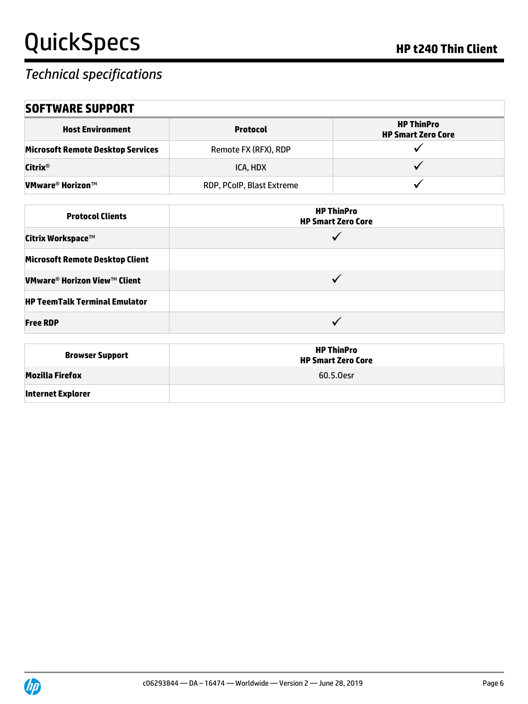### *Technical specifications*

#### **SOFTWARE SUPPORT**

| <b>Host Environment</b>           | <b>Protocol</b>           | <b>HP ThinPro</b><br><b>HP Smart Zero Core</b> |
|-----------------------------------|---------------------------|------------------------------------------------|
| Microsoft Remote Desktop Services | Remote FX (RFX), RDP      |                                                |
| Citrix <sup>®</sup>               | ICA, HDX                  |                                                |
| VMware® Horizon™                  | RDP, PCoIP, Blast Extreme |                                                |

| <b>Protocol Clients</b>              | <b>HP ThinPro</b><br><b>HP Smart Zero Core</b> |
|--------------------------------------|------------------------------------------------|
| Citrix Workspace™                    |                                                |
| Microsoft Remote Desktop Client      |                                                |
| VMware® Horizon View™ Client         |                                                |
| <b>HP TeemTalk Terminal Emulator</b> |                                                |
| <b>Free RDP</b>                      |                                                |

| <b>Browser Support</b>   | HP ThinPro<br><b>HP Smart Zero Core</b> |
|--------------------------|-----------------------------------------|
| Mozilla Firefox          | 60.5.0esr                               |
| <b>Internet Explorer</b> |                                         |

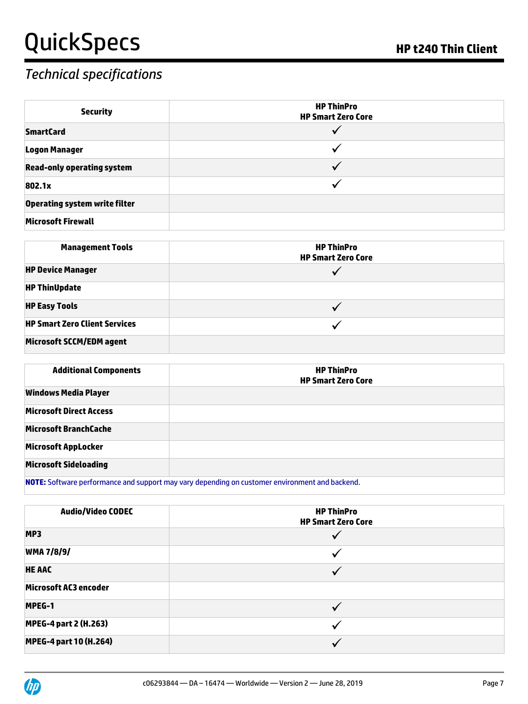### *Technical specifications*

| <b>Security</b>                      | <b>HP ThinPro</b><br><b>HP Smart Zero Core</b> |
|--------------------------------------|------------------------------------------------|
| <b>SmartCard</b>                     | √                                              |
| <b>Logon Manager</b>                 | $\checkmark$                                   |
| <b>Read-only operating system</b>    | $\checkmark$                                   |
| 802.1x                               | √                                              |
| <b>Operating system write filter</b> |                                                |
| <b>Microsoft Firewall</b>            |                                                |

| <b>Management Tools</b>              | <b>HP ThinPro</b><br><b>HP Smart Zero Core</b> |
|--------------------------------------|------------------------------------------------|
| <b>HP Device Manager</b>             |                                                |
| <b>HP ThinUpdate</b>                 |                                                |
| <b>HP Easy Tools</b>                 |                                                |
| <b>HP Smart Zero Client Services</b> |                                                |
| <b>Microsoft SCCM/EDM agent</b>      |                                                |

| <b>Additional Components</b>   | <b>HP ThinPro</b><br><b>HP Smart Zero Core</b>                                                 |
|--------------------------------|------------------------------------------------------------------------------------------------|
| Windows Media Player           |                                                                                                |
| <b>Microsoft Direct Access</b> |                                                                                                |
| Microsoft BranchCache          |                                                                                                |
| Microsoft AppLocker            |                                                                                                |
| <b>Microsoft Sideloading</b>   |                                                                                                |
|                                | NOTE: Software performance and support may vary depending on customer environment and backend. |

| <b>Audio/Video CODEC</b>      | <b>HP ThinPro</b><br><b>HP Smart Zero Core</b> |
|-------------------------------|------------------------------------------------|
| MP3                           |                                                |
| <b>WMA 7/8/9/</b>             | $\checkmark$                                   |
| <b>HE AAC</b>                 | $\checkmark$                                   |
| Microsoft AC3 encoder         |                                                |
| <b>MPEG-1</b>                 | √                                              |
| <b>MPEG-4 part 2 (H.263)</b>  | ✔                                              |
| <b>MPEG-4 part 10 (H.264)</b> |                                                |

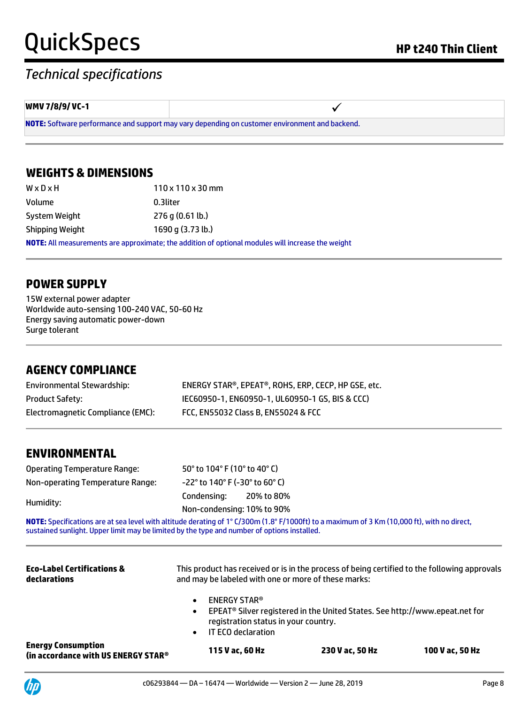### *Technical specifications*

**WMV 7/8/9/ VC-1** ✓

**NOTE:** Software performance and support may vary depending on customer environment and backend.

#### **WEIGHTS & DIMENSIONS**

| WxDxH                                                                                                    | $110 \times 110 \times 30$ mm |  |
|----------------------------------------------------------------------------------------------------------|-------------------------------|--|
| Volume                                                                                                   | 0.3liter                      |  |
| System Weight                                                                                            | $276$ q (0.61 lb.)            |  |
| Shipping Weight                                                                                          | 1690 q (3.73 lb.)             |  |
| <b>NOTE:</b> All measurements are approximate; the addition of optional modules will increase the weight |                               |  |

#### **POWER SUPPLY**

15W external power adapter Worldwide auto-sensing 100-240 VAC, 50-60 Hz Energy saving automatic power-down Surge tolerant

#### **AGENCY COMPLIANCE**

| Environmental Stewardship:        | ENERGY STAR®, EPEAT®, ROHS, ERP, CECP, HP GSE, etc. |
|-----------------------------------|-----------------------------------------------------|
| Product Safety:                   | IEC60950-1. EN60950-1. UL60950-1 GS. BIS & CCC)     |
| Electromagnetic Compliance (EMC): | FCC. EN55032 Class B. EN55024 & FCC                 |

#### **ENVIRONMENTAL**

| <b>Operating Temperature Range:</b> | 50° to 104° F (10° to 40° C)            |            |
|-------------------------------------|-----------------------------------------|------------|
| Non-operating Temperature Range:    | $-22^{\circ}$ to 140° F (-30° to 60° C) |            |
| Humidity:                           | Condensing:                             | 20% to 80% |
|                                     | Non-condensing: 10% to 90%              |            |

**NOTE:** Specifications are at sea level with altitude derating of 1° C/300m (1.8° F/1000ft) to a maximum of 3 Km (10,000 ft), with no direct, sustained sunlight. Upper limit may be limited by the type and number of options installed.

| <b>Energy Consumption</b><br>(in accordance with US ENERGY STAR® | 115 V ac, 60 Hz                                                                                                                                     | 230 V ac, 50 Hz                                                                         | 100 V ac, 50 Hz |  |  |
|------------------------------------------------------------------|-----------------------------------------------------------------------------------------------------------------------------------------------------|-----------------------------------------------------------------------------------------|-----------------|--|--|
|                                                                  | <b>ENERGY STAR®</b><br>$\bullet$<br>$\bullet$<br>registration status in your country.<br><b>IT ECO declaration</b><br>$\bullet$                     | EPEAT <sup>®</sup> Silver registered in the United States. See http://www.epeat.net for |                 |  |  |
| <b>Eco-Label Certifications &amp;</b><br>declarations            | This product has received or is in the process of being certified to the following approvals<br>and may be labeled with one or more of these marks: |                                                                                         |                 |  |  |

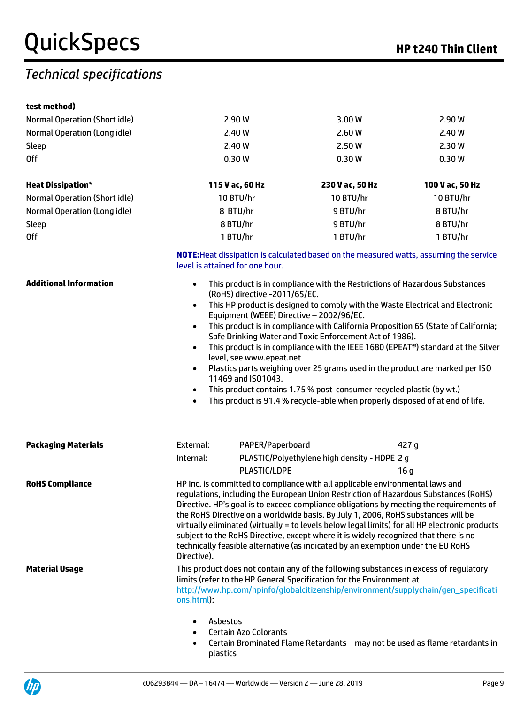### *Technical specifications*

| test method)                                   |                                                                                                                                                                                                                          |                                 |                                                                                                                                                                                                                                                                                                                                                                                                                                                                                                                                                 |                 |
|------------------------------------------------|--------------------------------------------------------------------------------------------------------------------------------------------------------------------------------------------------------------------------|---------------------------------|-------------------------------------------------------------------------------------------------------------------------------------------------------------------------------------------------------------------------------------------------------------------------------------------------------------------------------------------------------------------------------------------------------------------------------------------------------------------------------------------------------------------------------------------------|-----------------|
| <b>Normal Operation (Short idle)</b><br>2.90 W |                                                                                                                                                                                                                          | 3.00W                           | 2.90 W                                                                                                                                                                                                                                                                                                                                                                                                                                                                                                                                          |                 |
| Normal Operation (Long idle)                   |                                                                                                                                                                                                                          | 2.40 W                          | 2.60W                                                                                                                                                                                                                                                                                                                                                                                                                                                                                                                                           | 2.40 W          |
| Sleep                                          |                                                                                                                                                                                                                          | 2.40 W                          | 2.50W                                                                                                                                                                                                                                                                                                                                                                                                                                                                                                                                           | 2.30 W          |
| <b>Off</b>                                     |                                                                                                                                                                                                                          | 0.30W                           | 0.30W                                                                                                                                                                                                                                                                                                                                                                                                                                                                                                                                           | 0.30W           |
| <b>Heat Dissipation*</b>                       |                                                                                                                                                                                                                          | 115 V ac, 60 Hz                 | 230 V ac, 50 Hz                                                                                                                                                                                                                                                                                                                                                                                                                                                                                                                                 | 100 V ac, 50 Hz |
| Normal Operation (Short idle)                  |                                                                                                                                                                                                                          | 10 BTU/hr                       | 10 BTU/hr                                                                                                                                                                                                                                                                                                                                                                                                                                                                                                                                       | 10 BTU/hr       |
| Normal Operation (Long idle)                   |                                                                                                                                                                                                                          | 8 BTU/hr                        | 9 BTU/hr                                                                                                                                                                                                                                                                                                                                                                                                                                                                                                                                        | 8 BTU/hr        |
| Sleep                                          |                                                                                                                                                                                                                          | 8 BTU/hr                        | 9 BTU/hr                                                                                                                                                                                                                                                                                                                                                                                                                                                                                                                                        | 8 BTU/hr        |
| <b>Off</b>                                     |                                                                                                                                                                                                                          | 1 BTU/hr                        | 1 BTU/hr                                                                                                                                                                                                                                                                                                                                                                                                                                                                                                                                        | 1 BTU/hr        |
|                                                |                                                                                                                                                                                                                          | level is attained for one hour. | NOTE: Heat dissipation is calculated based on the measured watts, assuming the service                                                                                                                                                                                                                                                                                                                                                                                                                                                          |                 |
| <b>Additional Information</b>                  | This product is in compliance with the Restrictions of Hazardous Substances<br>$\bullet$<br>(RoHS) directive -2011/65/EC.<br>This HP product is designed to comply with the Waste Electrical and Electronic<br>$\bullet$ |                                 |                                                                                                                                                                                                                                                                                                                                                                                                                                                                                                                                                 |                 |
|                                                | Equipment (WEEE) Directive - 2002/96/EC.<br>This product is in compliance with California Proposition 65 (State of California;<br>$\bullet$                                                                              |                                 |                                                                                                                                                                                                                                                                                                                                                                                                                                                                                                                                                 |                 |
|                                                | Safe Drinking Water and Toxic Enforcement Act of 1986).<br>This product is in compliance with the IEEE 1680 (EPEAT®) standard at the Silver<br>$\bullet$<br>level, see www.epeat.net                                     |                                 |                                                                                                                                                                                                                                                                                                                                                                                                                                                                                                                                                 |                 |
|                                                | $\bullet$                                                                                                                                                                                                                | 11469 and ISO1043.              | Plastics parts weighing over 25 grams used in the product are marked per ISO                                                                                                                                                                                                                                                                                                                                                                                                                                                                    |                 |
|                                                | $\bullet$                                                                                                                                                                                                                |                                 | This product contains 1.75 % post-consumer recycled plastic (by wt.)                                                                                                                                                                                                                                                                                                                                                                                                                                                                            |                 |
|                                                | $\bullet$                                                                                                                                                                                                                |                                 | This product is 91.4 % recycle-able when properly disposed of at end of life.                                                                                                                                                                                                                                                                                                                                                                                                                                                                   |                 |
|                                                |                                                                                                                                                                                                                          |                                 |                                                                                                                                                                                                                                                                                                                                                                                                                                                                                                                                                 |                 |
| <b>Packaging Materials</b>                     | External:                                                                                                                                                                                                                | PAPER/Paperboard                |                                                                                                                                                                                                                                                                                                                                                                                                                                                                                                                                                 | 427 q           |
|                                                | Internal:                                                                                                                                                                                                                |                                 | PLASTIC/Polyethylene high density - HDPE 2 g                                                                                                                                                                                                                                                                                                                                                                                                                                                                                                    |                 |
|                                                |                                                                                                                                                                                                                          | PLASTIC/LDPE                    |                                                                                                                                                                                                                                                                                                                                                                                                                                                                                                                                                 | 16 <sub>g</sub> |
| <b>RoHS Compliance</b>                         |                                                                                                                                                                                                                          |                                 | HP Inc. is committed to compliance with all applicable environmental laws and<br>regulations, including the European Union Restriction of Hazardous Substances (RoHS)<br>Directive. HP's goal is to exceed compliance obligations by meeting the requirements of<br>the RoHS Directive on a worldwide basis. By July 1, 2006, RoHS substances will be<br>virtually eliminated (virtually = to levels below legal limits) for all HP electronic products<br>subject to the RoHS Directive, except where it is widely recognized that there is no |                 |
|                                                | Directive).                                                                                                                                                                                                              |                                 | technically feasible alternative (as indicated by an exemption under the EU RoHS                                                                                                                                                                                                                                                                                                                                                                                                                                                                |                 |
| <b>Material Usage</b>                          | ons.html):                                                                                                                                                                                                               |                                 | This product does not contain any of the following substances in excess of regulatory<br>limits (refer to the HP General Specification for the Environment at<br>http://www.hp.com/hpinfo/globalcitizenship/environment/supplychain/gen_specificati                                                                                                                                                                                                                                                                                             |                 |
|                                                | Asbestos<br>$\bullet$                                                                                                                                                                                                    |                                 |                                                                                                                                                                                                                                                                                                                                                                                                                                                                                                                                                 |                 |
|                                                |                                                                                                                                                                                                                          | <b>Certain Azo Colorants</b>    |                                                                                                                                                                                                                                                                                                                                                                                                                                                                                                                                                 |                 |
|                                                | Certain Brominated Flame Retardants - may not be used as flame retardants in<br>$\bullet$<br>plastics                                                                                                                    |                                 |                                                                                                                                                                                                                                                                                                                                                                                                                                                                                                                                                 |                 |

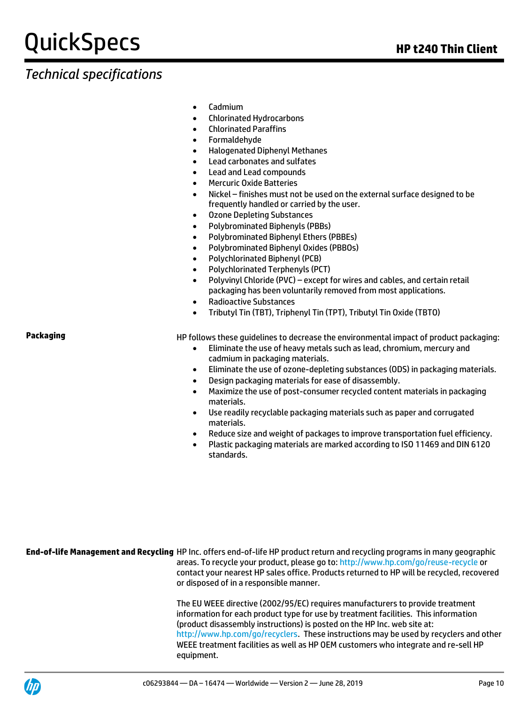### *Technical specifications*

- Cadmium
- Chlorinated Hydrocarbons
- Chlorinated Paraffins
- Formaldehyde
- Halogenated Diphenyl Methanes
- Lead carbonates and sulfates
- Lead and Lead compounds
- Mercuric Oxide Batteries
- Nickel finishes must not be used on the external surface designed to be frequently handled or carried by the user.
- Ozone Depleting Substances
- Polybrominated Biphenyls (PBBs)
- Polybrominated Biphenyl Ethers (PBBEs)
- Polybrominated Biphenyl Oxides (PBBOs)
- Polychlorinated Biphenyl (PCB)
- Polychlorinated Terphenyls (PCT)
- Polyvinyl Chloride (PVC) except for wires and cables, and certain retail packaging has been voluntarily removed from most applications.
- Radioactive Substances
- Tributyl Tin (TBT), Triphenyl Tin (TPT), Tributyl Tin Oxide (TBTO)

**Packaging HP follows these guidelines to decrease the environmental impact of product packaging:** 

- Eliminate the use of heavy metals such as lead, chromium, mercury and cadmium in packaging materials.
- Eliminate the use of ozone-depleting substances (ODS) in packaging materials.
- Design packaging materials for ease of disassembly.
- Maximize the use of post-consumer recycled content materials in packaging materials.
- Use readily recyclable packaging materials such as paper and corrugated materials.
- Reduce size and weight of packages to improve transportation fuel efficiency.
- Plastic packaging materials are marked according to ISO 11469 and DIN 6120 standards.

**End-of-life Management and Recycling** HP Inc. offers end-of-life HP product return and recycling programs in many geographic areas. To recycle your product, please go to[: http://www.hp.com/go/reuse-recycle](http://www.hp.com/go/reuse-recycle) or contact your nearest HP sales office. Products returned to HP will be recycled, recovered or disposed of in a responsible manner.

> The EU WEEE directive (2002/95/EC) requires manufacturers to provide treatment information for each product type for use by treatment facilities. This information (product disassembly instructions) is posted on the HP Inc. web site at: [http://www.hp.com/go/recyclers.](http://www.hp.com/go/recyclers) These instructions may be used by recyclers and other WEEE treatment facilities as well as HP OEM customers who integrate and re-sell HP equipment.

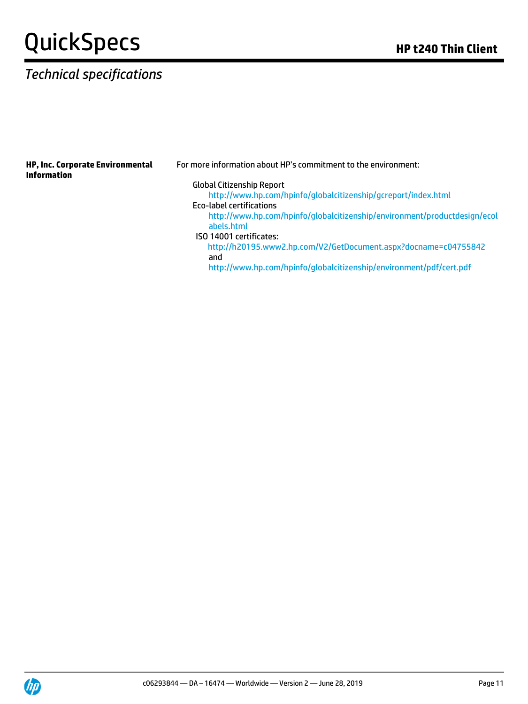### *Technical specifications*

| <b>HP, Inc. Corporate Environmental</b><br>Information | For more information about HP's commitment to the environment:                          |  |  |
|--------------------------------------------------------|-----------------------------------------------------------------------------------------|--|--|
|                                                        | <b>Global Citizenship Report</b>                                                        |  |  |
|                                                        | http://www.hp.com/hpinfo/qlobalcitizenship/gcreport/index.html                          |  |  |
|                                                        | Eco-label certifications                                                                |  |  |
|                                                        | http://www.hp.com/hpinfo/globalcitizenship/environment/productdesign/ecol<br>abels.html |  |  |
|                                                        | ISO 14001 certificates:                                                                 |  |  |
|                                                        | http://h20195.www2.hp.com/V2/GetDocument.aspx?docname=c04755842<br>and                  |  |  |
|                                                        | http://www.hp.com/hpinfo/globalcitizenship/environment/pdf/cert.pdf                     |  |  |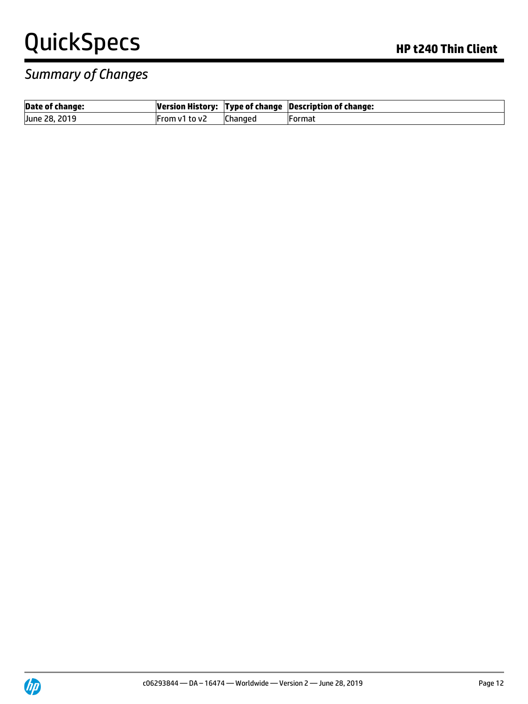### *Summary of Changes*

| Date of change: |                |                 | Version History: Type of change Description of change: |
|-----------------|----------------|-----------------|--------------------------------------------------------|
| June 28, 2019   | IFrom v1 to v2 | <b>IChanged</b> | Format                                                 |